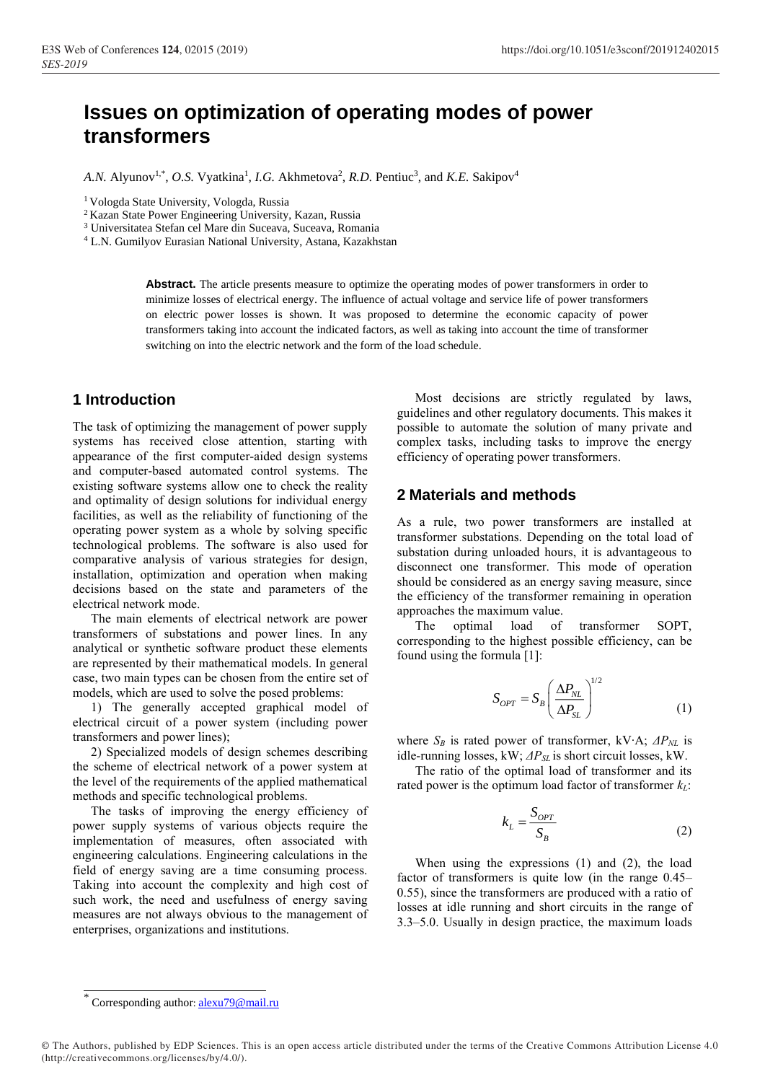# **Issues on optimization of operating modes of power transformers**

A.N. Alyunov<sup>1,\*</sup>, O.S. Vyatkina<sup>1</sup>, *I.G.* Akhmetova<sup>2</sup>, *R.D.* Pentiuc<sup>3</sup>, and *K.E.* Sakipov<sup>4</sup>

<sup>1</sup>Vologda State University, Vologda, Russia

<sup>2</sup> Kazan State Power Engineering University, Kazan, Russia

<sup>3</sup> Universitatea Stefan cel Mare din Suceava, Suceava, Romania

<sup>4</sup> L.N. Gumilyov Eurasian National University, Astana, Kazakhstan

Abstract. The article presents measure to optimize the operating modes of power transformers in order to minimize losses of electrical energy. The influence of actual voltage and service life of power transformers on electric power losses is shown. It was proposed to determine the economic capacity of power transformers taking into account the indicated factors, as well as taking into account the time of transformer switching on into the electric network and the form of the load schedule.

## **1 Introduction**

The task of optimizing the management of power supply systems has received close attention, starting with appearance of the first computer-aided design systems and computer-based automated control systems. The existing software systems allow one to check the reality and optimality of design solutions for individual energy facilities, as well as the reliability of functioning of the operating power system as a whole by solving specific technological problems. The software is also used for comparative analysis of various strategies for design, installation, optimization and operation when making decisions based on the state and parameters of the electrical network mode.

The main elements of electrical network are power transformers of substations and power lines. In any analytical or synthetic software product these elements are represented by their mathematical models. In general case, two main types can be chosen from the entire set of models, which are used to solve the posed problems:

1) The generally accepted graphical model of electrical circuit of a power system (including power transformers and power lines);

2) Specialized models of design schemes describing the scheme of electrical network of a power system at the level of the requirements of the applied mathematical methods and specific technological problems.

The tasks of improving the energy efficiency of power supply systems of various objects require the implementation of measures, often associated with engineering calculations. Engineering calculations in the field of energy saving are a time consuming process. Taking into account the complexity and high cost of such work, the need and usefulness of energy saving measures are not always obvious to the management of enterprises, organizations and institutions.

Most decisions are strictly regulated by laws, guidelines and other regulatory documents. This makes it possible to automate the solution of many private and complex tasks, including tasks to improve the energy efficiency of operating power transformers.

### **2 Materials and methods**

As a rule, two power transformers are installed at transformer substations. Depending on the total load of substation during unloaded hours, it is advantageous to disconnect one transformer. This mode of operation should be considered as an energy saving measure, since the efficiency of the transformer remaining in operation approaches the maximum value.

The optimal load of transformer SOPT, corresponding to the highest possible efficiency, can be found using the formula [1]:

$$
S_{OPT} = S_B \left(\frac{\Delta P_{NL}}{\Delta P_{SL}}\right)^{1/2} \tag{1}
$$

where *S<sup>B</sup>* is rated power of transformer, kV∙A; *ΔPNL* is idle-running losses, kW; *ΔPSL* is short circuit losses, kW.

The ratio of the optimal load of transformer and its rated power is the optimum load factor of transformer *kL*:

$$
k_L = \frac{S_{OPT}}{S_B} \tag{2}
$$

When using the expressions (1) and (2), the load factor of transformers is quite low (in the range 0.45– 0.55), since the transformers are produced with a ratio of losses at idle running and short circuits in the range of 3.3–5.0. Usually in design practice, the maximum loads

© The Authors, published by EDP Sciences. This is an open access article distributed under the terms of the Creative Commons Attribution License 4.0 (http://creativecommons.org/licenses/by/4.0/).

<sup>\*</sup> Corresponding author: alexu79@mail.ru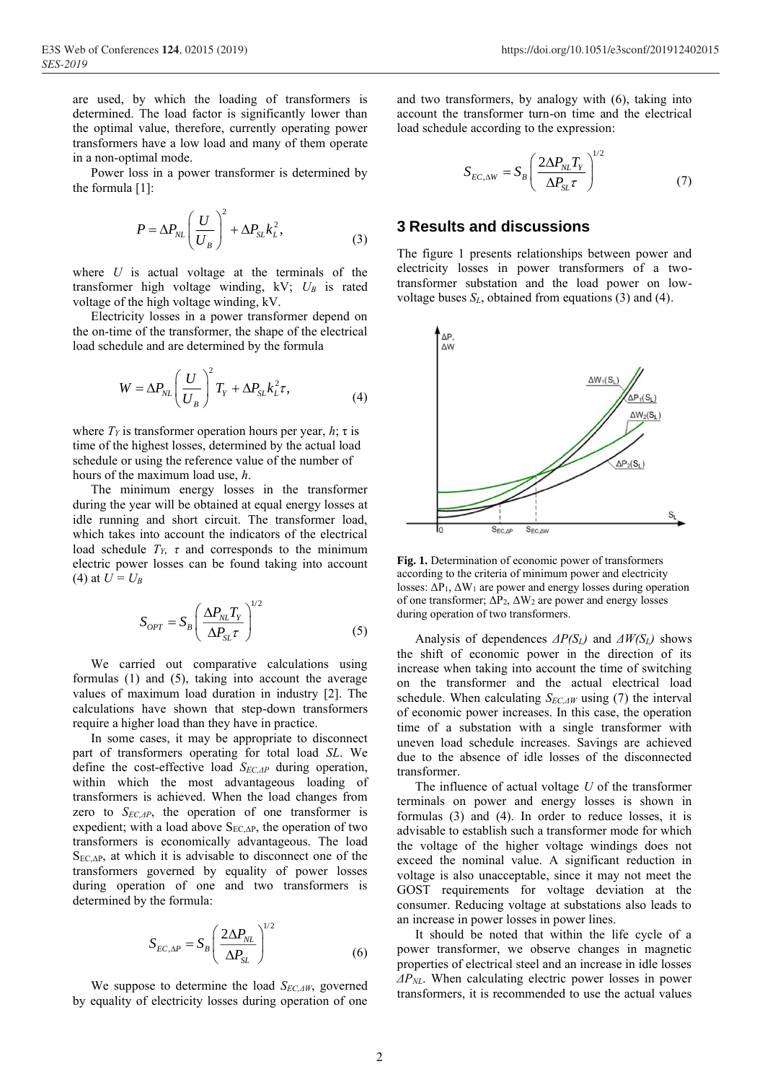are used, by which the loading of transformers is determined. The load factor is significantly lower than the optimal value, therefore, currently operating power transformers have a low load and many of them operate in a non-optimal mode.

Power loss in a power transformer is determined by the formula [1]:

$$
P = \Delta P_{NL} \left(\frac{U}{U_B}\right)^2 + \Delta P_{SL} k_L^2, \tag{3}
$$

where *U* is actual voltage at the terminals of the transformer high voltage winding, kV; *U<sup>B</sup>* is rated voltage of the high voltage winding, kV.

Electricity losses in a power transformer depend on the on-time of the transformer, the shape of the electrical load schedule and are determined by the formula

$$
W = \Delta P_{NL} \left(\frac{U}{U_B}\right)^2 T_Y + \Delta P_{SL} k_L^2 \tau,
$$
\n(4)

where  $T_Y$  is transformer operation hours per year,  $h$ ;  $\tau$  is time of the highest losses, determined by the actual load schedule or using the reference value of the number of hours of the maximum load use, *h*.

The minimum energy losses in the transformer during the year will be obtained at equal energy losses at idle running and short circuit. The transformer load, which takes into account the indicators of the electrical load schedule *TY, τ* and corresponds to the minimum electric power losses can be found taking into account (4) at  $U = U_B$ 

$$
S_{OPT} = S_B \left( \frac{\Delta P_{NL} T_Y}{\Delta P_{SL} \tau} \right)^{1/2} \tag{5}
$$

We carried out comparative calculations using formulas (1) and (5), taking into account the average values of maximum load duration in industry [2]. The calculations have shown that step-down transformers require a higher load than they have in practice.

In some cases, it may be appropriate to disconnect part of transformers operating for total load *SL*. We define the cost-effective load *SEC,ΔP* during operation, within which the most advantageous loading of transformers is achieved. When the load changes from zero to *SEC,ΔP*, the operation of one transformer is expedient; with a load above  $S_{EC, \Delta P}$ , the operation of two transformers is economically advantageous. The load  $S_{EC, \Delta P}$ , at which it is advisable to disconnect one of the transformers governed by equality of power losses during operation of one and two transformers is determined by the formula:

$$
S_{EC,\Delta P} = S_B \left(\frac{2\Delta P_{NL}}{\Delta P_{SL}}\right)^{1/2} \tag{6}
$$

We suppose to determine the load *SEC,ΔW*, governed by equality of electricity losses during operation of one

and two transformers, by analogy with (6), taking into account the transformer turn-on time and the electrical load schedule according to the expression:

$$
S_{EC,\Delta W} = S_B \left( \frac{2\Delta P_{NL} T_Y}{\Delta P_{SL} \tau} \right)^{1/2} \tag{7}
$$

## **3 Results and discussions**

The figure 1 presents relationships between power and electricity losses in power transformers of a twotransformer substation and the load power on lowvoltage buses  $S_L$ , obtained from equations (3) and (4).



**Fig. 1.** Determination of economic power of transformers according to the criteria of minimum power and electricity losses:  $\Delta P_1$ ,  $\Delta W_1$  are power and energy losses during operation of one transformer;  $\Delta P_2$ ,  $\Delta W_2$  are power and energy losses during operation of two transformers.

Analysis of dependences *ΔP(SL)* and *ΔW(SL)* shows the shift of economic power in the direction of its increase when taking into account the time of switching on the transformer and the actual electrical load schedule. When calculating *SEC,ΔW* using (7) the interval of economic power increases. In this case, the operation time of a substation with a single transformer with uneven load schedule increases. Savings are achieved due to the absence of idle losses of the disconnected transformer.

The influence of actual voltage *U* of the transformer terminals on power and energy losses is shown in formulas (3) and (4). In order to reduce losses, it is advisable to establish such a transformer mode for which the voltage of the higher voltage windings does not exceed the nominal value. A significant reduction in voltage is also unacceptable, since it may not meet the GOST requirements for voltage deviation at the consumer. Reducing voltage at substations also leads to an increase in power losses in power lines.

It should be noted that within the life cycle of a power transformer, we observe changes in magnetic properties of electrical steel and an increase in idle losses *ΔPNL*. When calculating electric power losses in power transformers, it is recommended to use the actual values